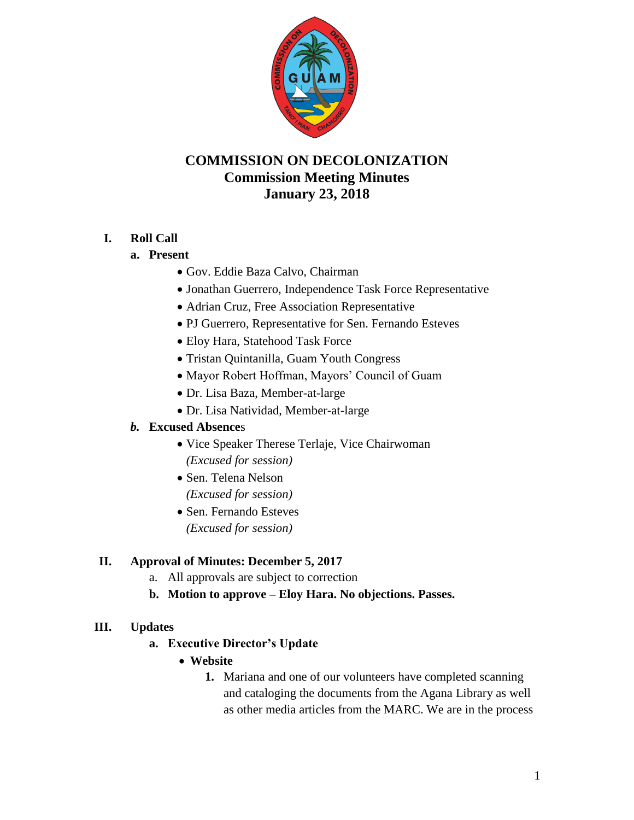

# **COMMISSION ON DECOLONIZATION Commission Meeting Minutes January 23, 2018**

### **I. Roll Call**

#### **a. Present**

- Gov. Eddie Baza Calvo, Chairman
- Jonathan Guerrero, Independence Task Force Representative
- Adrian Cruz, Free Association Representative
- PJ Guerrero, Representative for Sen. Fernando Esteves
- Eloy Hara, Statehood Task Force
- Tristan Quintanilla, Guam Youth Congress
- Mayor Robert Hoffman, Mayors' Council of Guam
- Dr. Lisa Baza, Member-at-large
- Dr. Lisa Natividad, Member-at-large

### *b.* **Excused Absence**s

- Vice Speaker Therese Terlaje, Vice Chairwoman *(Excused for session)*
- Sen. Telena Nelson *(Excused for session)*
- Sen. Fernando Esteves *(Excused for session)*

### **II. Approval of Minutes: December 5, 2017**

- a. All approvals are subject to correction
- **b. Motion to approve – Eloy Hara. No objections. Passes.**

### **III. Updates**

- **a. Executive Director's Update**
	- **Website**
		- **1.** Mariana and one of our volunteers have completed scanning and cataloging the documents from the Agana Library as well as other media articles from the MARC. We are in the process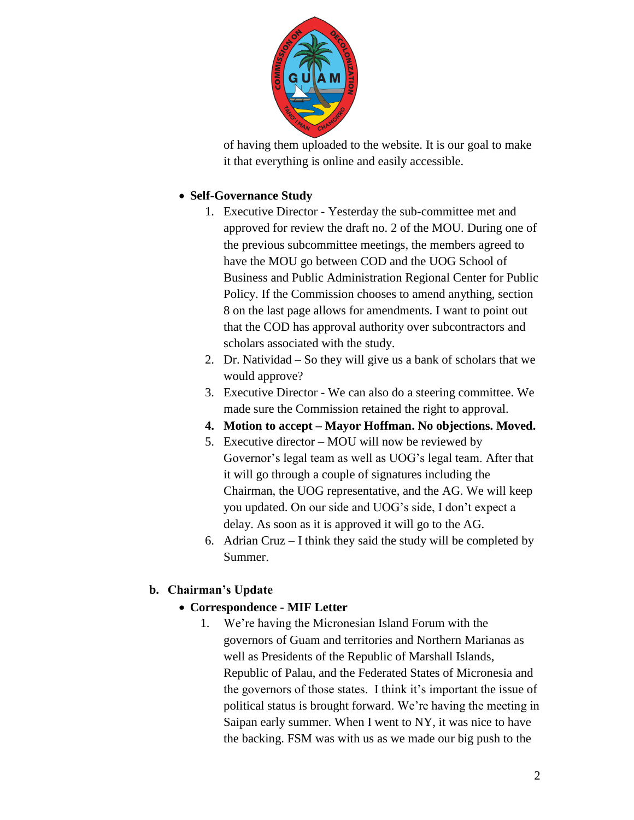

of having them uploaded to the website. It is our goal to make it that everything is online and easily accessible.

### **Self-Governance Study**

- 1. Executive Director Yesterday the sub-committee met and approved for review the draft no. 2 of the MOU. During one of the previous subcommittee meetings, the members agreed to have the MOU go between COD and the UOG School of Business and Public Administration Regional Center for Public Policy. If the Commission chooses to amend anything, section 8 on the last page allows for amendments. I want to point out that the COD has approval authority over subcontractors and scholars associated with the study.
- 2. Dr. Natividad So they will give us a bank of scholars that we would approve?
- 3. Executive Director We can also do a steering committee. We made sure the Commission retained the right to approval.
- **4. Motion to accept – Mayor Hoffman. No objections. Moved.**
- 5. Executive director MOU will now be reviewed by Governor's legal team as well as UOG's legal team. After that it will go through a couple of signatures including the Chairman, the UOG representative, and the AG. We will keep you updated. On our side and UOG's side, I don't expect a delay. As soon as it is approved it will go to the AG.
- 6. Adrian Cruz I think they said the study will be completed by Summer.

## **b. Chairman's Update**

- **Correspondence - MIF Letter**
	- 1. We're having the Micronesian Island Forum with the governors of Guam and territories and Northern Marianas as well as Presidents of the Republic of Marshall Islands, Republic of Palau, and the Federated States of Micronesia and the governors of those states. I think it's important the issue of political status is brought forward. We're having the meeting in Saipan early summer. When I went to NY, it was nice to have the backing. FSM was with us as we made our big push to the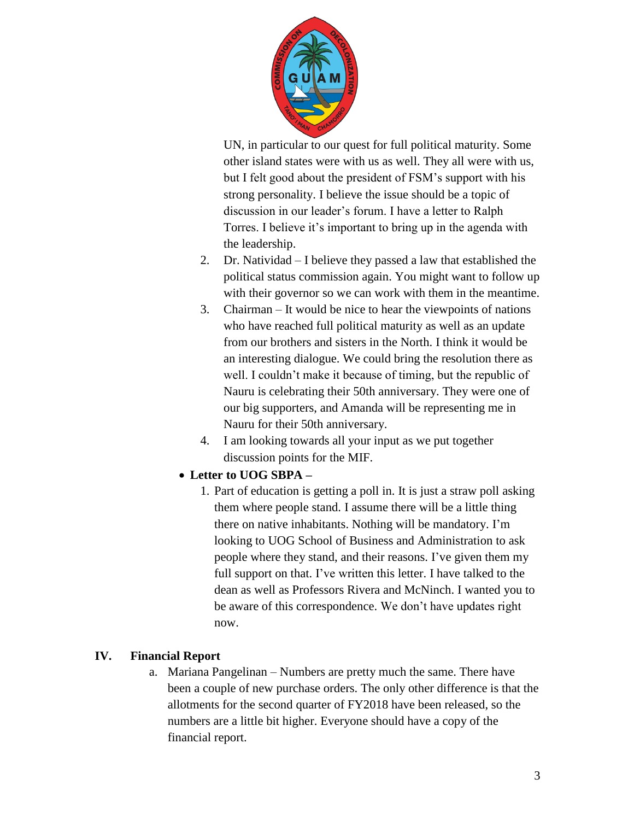

UN, in particular to our quest for full political maturity. Some other island states were with us as well. They all were with us, but I felt good about the president of FSM's support with his strong personality. I believe the issue should be a topic of discussion in our leader's forum. I have a letter to Ralph Torres. I believe it's important to bring up in the agenda with the leadership.

- 2. Dr. Natividad I believe they passed a law that established the political status commission again. You might want to follow up with their governor so we can work with them in the meantime.
- 3. Chairman It would be nice to hear the viewpoints of nations who have reached full political maturity as well as an update from our brothers and sisters in the North. I think it would be an interesting dialogue. We could bring the resolution there as well. I couldn't make it because of timing, but the republic of Nauru is celebrating their 50th anniversary. They were one of our big supporters, and Amanda will be representing me in Nauru for their 50th anniversary.
- 4. I am looking towards all your input as we put together discussion points for the MIF.

### **Letter to UOG SBPA –**

1. Part of education is getting a poll in. It is just a straw poll asking them where people stand. I assume there will be a little thing there on native inhabitants. Nothing will be mandatory. I'm looking to UOG School of Business and Administration to ask people where they stand, and their reasons. I've given them my full support on that. I've written this letter. I have talked to the dean as well as Professors Rivera and McNinch. I wanted you to be aware of this correspondence. We don't have updates right now.

### **IV. Financial Report**

a. Mariana Pangelinan – Numbers are pretty much the same. There have been a couple of new purchase orders. The only other difference is that the allotments for the second quarter of FY2018 have been released, so the numbers are a little bit higher. Everyone should have a copy of the financial report.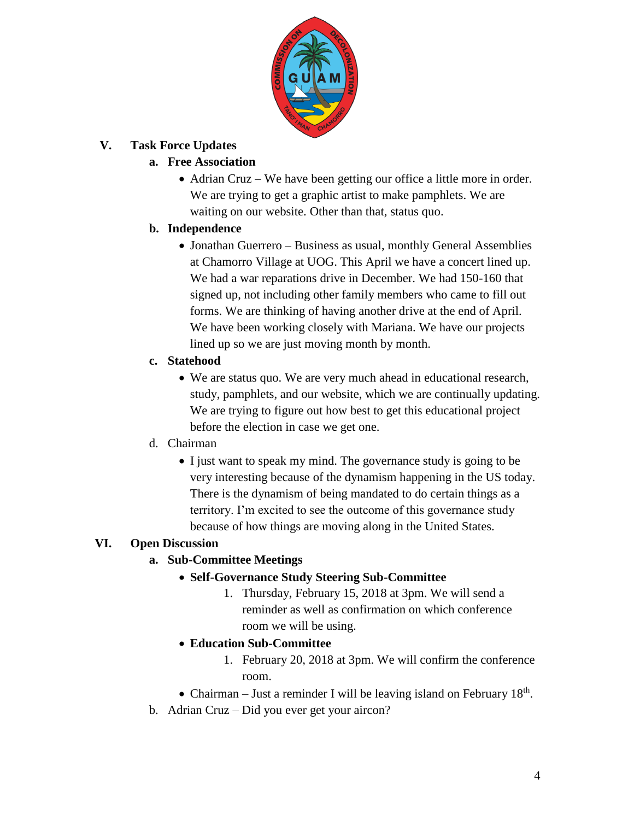

### **V. Task Force Updates**

### **a. Free Association**

 Adrian Cruz – We have been getting our office a little more in order. We are trying to get a graphic artist to make pamphlets. We are waiting on our website. Other than that, status quo.

### **b. Independence**

• Jonathan Guerrero – Business as usual, monthly General Assemblies at Chamorro Village at UOG. This April we have a concert lined up. We had a war reparations drive in December. We had 150-160 that signed up, not including other family members who came to fill out forms. We are thinking of having another drive at the end of April. We have been working closely with Mariana. We have our projects lined up so we are just moving month by month.

### **c. Statehood**

 We are status quo. We are very much ahead in educational research, study, pamphlets, and our website, which we are continually updating. We are trying to figure out how best to get this educational project before the election in case we get one.

### d. Chairman

• I just want to speak my mind. The governance study is going to be very interesting because of the dynamism happening in the US today. There is the dynamism of being mandated to do certain things as a territory. I'm excited to see the outcome of this governance study because of how things are moving along in the United States.

## **VI. Open Discussion**

## **a. Sub-Committee Meetings**

- **Self-Governance Study Steering Sub-Committee**
	- 1. Thursday, February 15, 2018 at 3pm. We will send a reminder as well as confirmation on which conference room we will be using.
- **Education Sub-Committee**
	- 1. February 20, 2018 at 3pm. We will confirm the conference room.
- Chairman Just a reminder I will be leaving island on February  $18<sup>th</sup>$ .
- b. Adrian Cruz Did you ever get your aircon?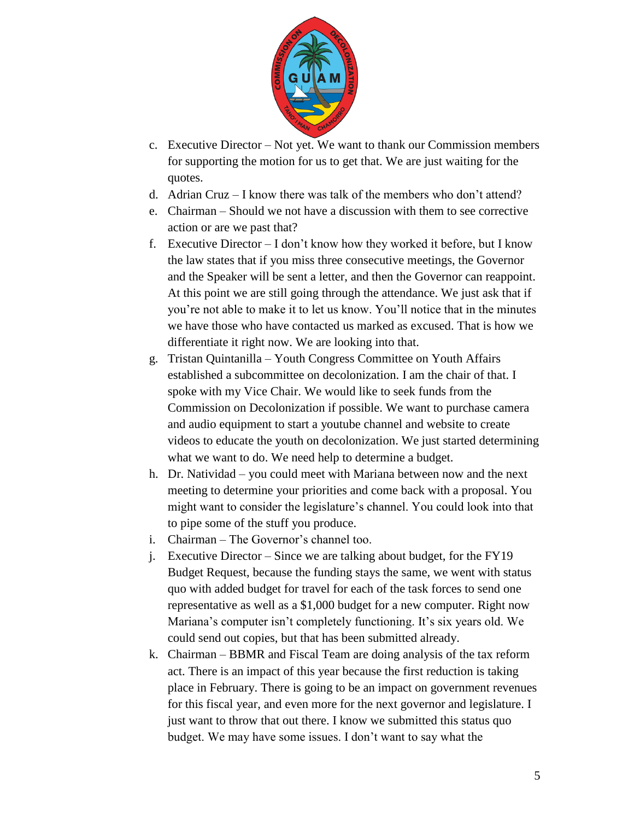

- c. Executive Director Not yet. We want to thank our Commission members for supporting the motion for us to get that. We are just waiting for the quotes.
- d. Adrian Cruz I know there was talk of the members who don't attend?
- e. Chairman Should we not have a discussion with them to see corrective action or are we past that?
- f. Executive Director I don't know how they worked it before, but I know the law states that if you miss three consecutive meetings, the Governor and the Speaker will be sent a letter, and then the Governor can reappoint. At this point we are still going through the attendance. We just ask that if you're not able to make it to let us know. You'll notice that in the minutes we have those who have contacted us marked as excused. That is how we differentiate it right now. We are looking into that.
- g. Tristan Quintanilla Youth Congress Committee on Youth Affairs established a subcommittee on decolonization. I am the chair of that. I spoke with my Vice Chair. We would like to seek funds from the Commission on Decolonization if possible. We want to purchase camera and audio equipment to start a youtube channel and website to create videos to educate the youth on decolonization. We just started determining what we want to do. We need help to determine a budget.
- h. Dr. Natividad you could meet with Mariana between now and the next meeting to determine your priorities and come back with a proposal. You might want to consider the legislature's channel. You could look into that to pipe some of the stuff you produce.
- i. Chairman The Governor's channel too.
- j. Executive Director Since we are talking about budget, for the FY19 Budget Request, because the funding stays the same, we went with status quo with added budget for travel for each of the task forces to send one representative as well as a \$1,000 budget for a new computer. Right now Mariana's computer isn't completely functioning. It's six years old. We could send out copies, but that has been submitted already.
- k. Chairman BBMR and Fiscal Team are doing analysis of the tax reform act. There is an impact of this year because the first reduction is taking place in February. There is going to be an impact on government revenues for this fiscal year, and even more for the next governor and legislature. I just want to throw that out there. I know we submitted this status quo budget. We may have some issues. I don't want to say what the